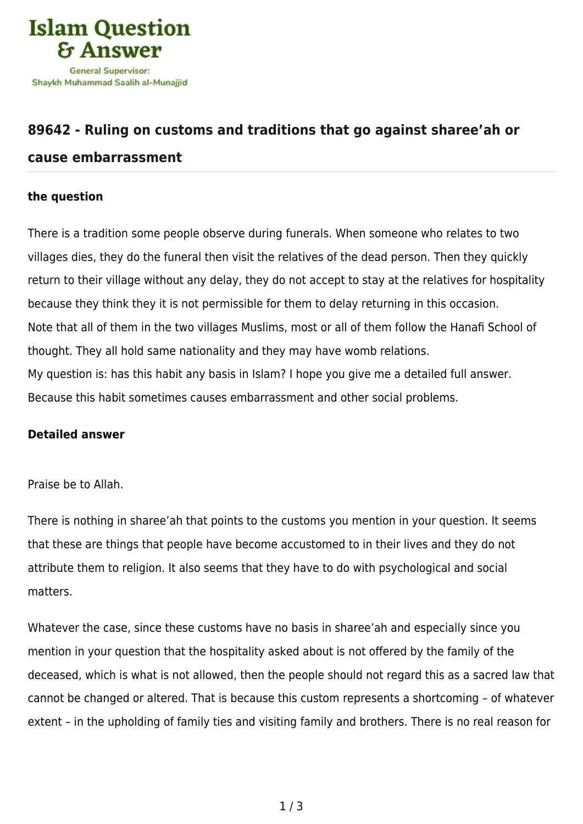

## **[89642 - Ruling on customs and traditions that go against sharee'ah or](https://islamqa.ws/en/answers/89642/ruling-on-customs-and-traditions-that-go-against-shareeah-or-cause-embarrassment)**

## **[cause embarrassment](https://islamqa.ws/en/answers/89642/ruling-on-customs-and-traditions-that-go-against-shareeah-or-cause-embarrassment)**

## **the question**

There is a tradition some people observe during funerals. When someone who relates to two villages dies, they do the funeral then visit the relatives of the dead person. Then they quickly return to their village without any delay, they do not accept to stay at the relatives for hospitality because they think they it is not permissible for them to delay returning in this occasion. Note that all of them in the two villages Muslims, most or all of them follow the Hanafi School of thought. They all hold same nationality and they may have womb relations. My question is: has this habit any basis in Islam? I hope you give me a detailed full answer. Because this habit sometimes causes embarrassment and other social problems.

## **Detailed answer**

Praise be to Allah.

There is nothing in sharee'ah that points to the customs you mention in your question. It seems that these are things that people have become accustomed to in their lives and they do not attribute them to religion. It also seems that they have to do with psychological and social matters.

Whatever the case, since these customs have no basis in sharee'ah and especially since you mention in your question that the hospitality asked about is not offered by the family of the deceased, which is what is not allowed, then the people should not regard this as a sacred law that cannot be changed or altered. That is because this custom represents a shortcoming – of whatever extent – in the upholding of family ties and visiting family and brothers. There is no real reason for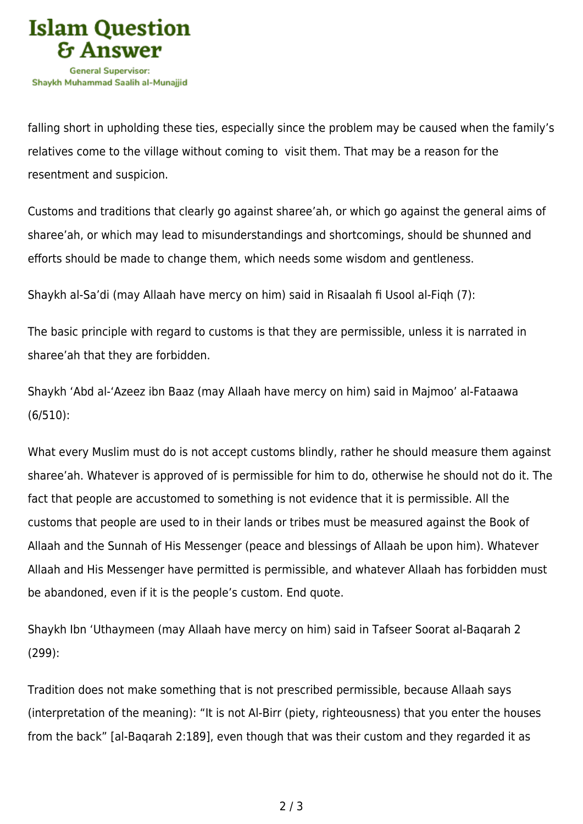

falling short in upholding these ties, especially since the problem may be caused when the family's relatives come to the village without coming to visit them. That may be a reason for the resentment and suspicion.

Customs and traditions that clearly go against sharee'ah, or which go against the general aims of sharee'ah, or which may lead to misunderstandings and shortcomings, should be shunned and efforts should be made to change them, which needs some wisdom and gentleness.

Shaykh al-Sa'di (may Allaah have mercy on him) said in Risaalah fi Usool al-Fiqh (7):

The basic principle with regard to customs is that they are permissible, unless it is narrated in sharee'ah that they are forbidden.

Shaykh 'Abd al-'Azeez ibn Baaz (may Allaah have mercy on him) said in Majmoo' al-Fataawa (6/510):

What every Muslim must do is not accept customs blindly, rather he should measure them against sharee'ah. Whatever is approved of is permissible for him to do, otherwise he should not do it. The fact that people are accustomed to something is not evidence that it is permissible. All the customs that people are used to in their lands or tribes must be measured against the Book of Allaah and the Sunnah of His Messenger (peace and blessings of Allaah be upon him). Whatever Allaah and His Messenger have permitted is permissible, and whatever Allaah has forbidden must be abandoned, even if it is the people's custom. End quote.

Shaykh Ibn 'Uthaymeen (may Allaah have mercy on him) said in Tafseer Soorat al-Baqarah 2 (299):

Tradition does not make something that is not prescribed permissible, because Allaah says (interpretation of the meaning): "It is not Al‑Birr (piety, righteousness) that you enter the houses from the back" [al-Baqarah 2:189], even though that was their custom and they regarded it as